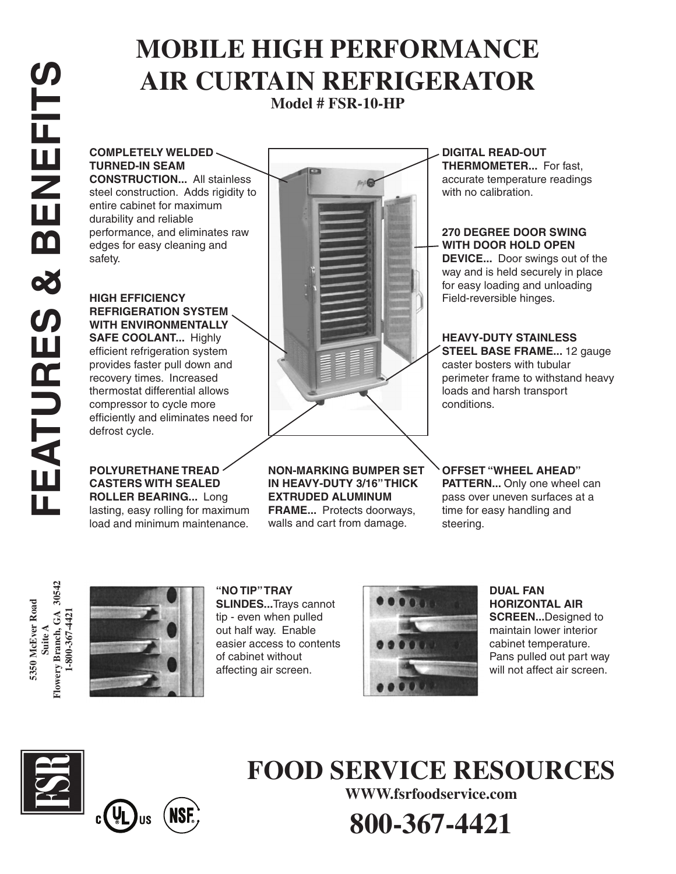# **MOBILE HIGH PERFORMANCE AIR CURTAIN REFRIGERATOR**

**Model # FSR-10-HP**

**COMPLETELY WELDED TURNED-IN SEAM CONSTRUCTION...** All stainless

steel construction. Adds rigidity to entire cabinet for maximum durability and reliable performance, and eliminates raw edges for easy cleaning and safety.

**HIGH EFFICIENCY REFRIGERATION SYSTEM WITH ENVIRONMENTALLY SAFE COOLANT...** Highly efficient refrigeration system provides faster pull down and recovery times. Increased thermostat differential allows compressor to cycle more efficiently and eliminates need for defrost cycle.

#### **POLYURETHANE TREAD CASTERS WITH SEALED ROLLER BEARING...** Long lasting, easy rolling for maximum

load and minimum maintenance.



**NON-MARKING BUMPER SET IN HEAVY-DUTY 3/16" THICK EXTRUDED ALUMINUM FRAME...** Protects doorways,

walls and cart from damage.

**DIGITAL READ-OUT THERMOMETER...** For fast, accurate temperature readings with no calibration.

### **270 DEGREE DOOR SWING WITH DOOR HOLD OPEN**

**DEVICE...** Door swings out of the way and is held securely in place for easy loading and unloading Field-reversible hinges.

**HEAVY-DUTY STAINLESS STEEL BASE FRAME...** 12 gauge caster bosters with tubular perimeter frame to withstand heavy loads and harsh transport conditions.

**OFFSET "WHEEL AHEAD" PATTERN...** Only one wheel can pass over uneven surfaces at a time for easy handling and steering.

**5350 McEver Road Suite A Flowery Branch, GA 30542 1-800-367-4421**



**"NO TIP" TRAY SLINDES...**Trays cannot tip - even when pulled out half way. Enable easier access to contents of cabinet without affecting air screen.



**DUAL FAN HORIZONTAL AIR SCREEN...**Designed to maintain lower interior cabinet temperature. Pans pulled out part way will not affect air screen.





### **FOOD SERVICE RESOURCES**

**WWW.fsrfoodservice.com**

**800-367-4421**